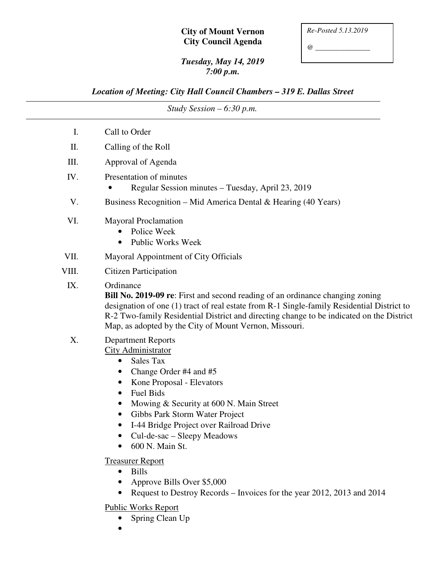## **City of Mount Vernon City Council Agenda**

| Re-Posted 5.13.2019 |
|---------------------|
|                     |

*@ \_\_\_\_\_\_\_\_\_\_\_\_\_\_\_* 

## *Tuesday, May 14, 2019 7:00 p.m.*

## *Location of Meeting: City Hall Council Chambers – 319 E. Dallas Street*

|       | Study Session $-6:30$ p.m.                                                                                                                                                                                                                                                                                                                                                                                                                                                                                                                      |
|-------|-------------------------------------------------------------------------------------------------------------------------------------------------------------------------------------------------------------------------------------------------------------------------------------------------------------------------------------------------------------------------------------------------------------------------------------------------------------------------------------------------------------------------------------------------|
| Ι.    | Call to Order                                                                                                                                                                                                                                                                                                                                                                                                                                                                                                                                   |
| Π.    | Calling of the Roll                                                                                                                                                                                                                                                                                                                                                                                                                                                                                                                             |
| III.  | Approval of Agenda                                                                                                                                                                                                                                                                                                                                                                                                                                                                                                                              |
| IV.   | Presentation of minutes<br>Regular Session minutes – Tuesday, April 23, 2019                                                                                                                                                                                                                                                                                                                                                                                                                                                                    |
| V.    | Business Recognition – Mid America Dental & Hearing $(40 \text{ Years})$                                                                                                                                                                                                                                                                                                                                                                                                                                                                        |
| VI.   | <b>Mayoral Proclamation</b><br>Police Week<br><b>Public Works Week</b>                                                                                                                                                                                                                                                                                                                                                                                                                                                                          |
| VII.  | Mayoral Appointment of City Officials                                                                                                                                                                                                                                                                                                                                                                                                                                                                                                           |
| VIII. | <b>Citizen Participation</b>                                                                                                                                                                                                                                                                                                                                                                                                                                                                                                                    |
| IX.   | Ordinance<br><b>Bill No. 2019-09 re:</b> First and second reading of an ordinance changing zoning<br>designation of one (1) tract of real estate from R-1 Single-family Residential District to<br>R-2 Two-family Residential District and directing change to be indicated on the District<br>Map, as adopted by the City of Mount Vernon, Missouri.                                                                                                                                                                                           |
| X.    | <b>Department Reports</b><br><b>City Administrator</b><br>Sales Tax<br>$\bullet$<br>Change Order #4 and #5<br>Kone Proposal - Elevators<br>Fuel Bids<br>Mowing & Security at 600 N. Main Street<br>Gibbs Park Storm Water Project<br>I-44 Bridge Project over Railroad Drive<br>Cul-de-sac - Sleepy Meadows<br>600 N. Main St.<br><b>Treasurer Report</b><br><b>Bills</b><br>$\bullet$<br>Approve Bills Over \$5,000<br>Request to Destroy Records – Invoices for the year 2012, 2013 and 2014<br><b>Public Works Report</b><br>Spring Clean Up |

•